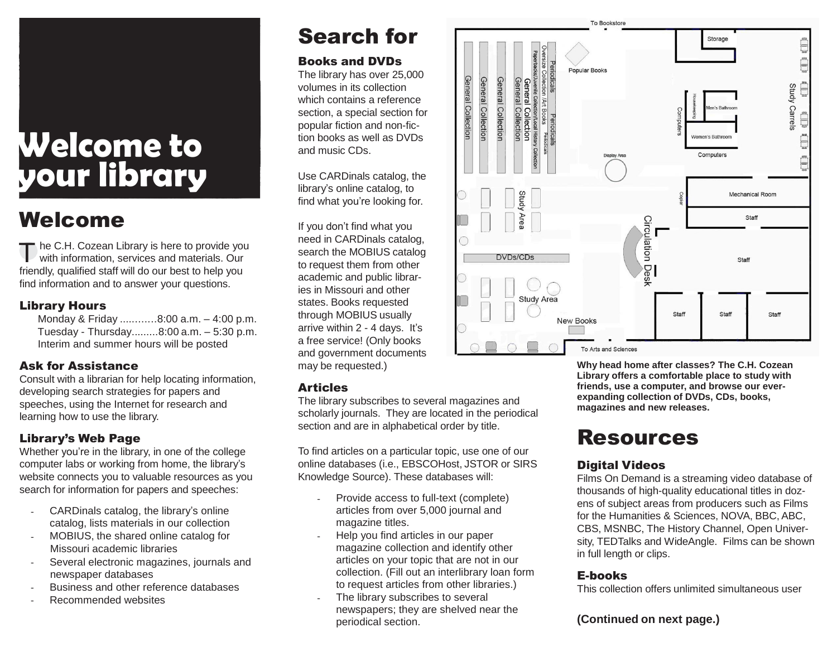# **Welcome to your library**

### Welcome

The C.H. Cozean Library is here to provide yo<br>with information, services and materials. Our he C.H. Cozean Library is here to provide you friendly, qualified staff will do our best to help you find information and to answer your questions.

#### Library Hours

 Monday & Friday ............8:00 a.m. – 4:00 p.m. Tuesday - Thursday.........8:00 a.m. – 5:30 p.m. Interim and summer hours will be posted

#### Ask for Assistance

Consult with a librarian for help locating information, developing search strategies for papers and speeches, using the Internet for research and learning how to use the library.

#### Library's Web Page

Whether you're in the library, in one of the college computer labs or working from home, the library's website connects you to valuable resources as you search for information for papers and speeches:

- CARDinals catalog, the library's online catalog, lists materials in our collection
- MOBIUS, the shared online catalog for Missouri academic libraries
- Several electronic magazines, journals and newspaper databases
- Business and other reference databases
- Recommended websites

## Search for

#### Books and DVDs

The library has over 25,000 volumes in its collection which contains a reference section, a special section for popular fiction and non-fiction books as well as DVDs and music CDs.

Use CARDinals catalog, the library's online catalog, to find what you're looking for.

If you don't find what you need in CARDinals catalog, search the MOBIUS catalog to request them from other academic and public libraries in Missouri and other states. Books requested through MOBIUS usually arrive within 2 - 4 days. It's a free service! (Only books and government documents may be requested.)

#### Articles

The library subscribes to several magazines and scholarly journals. They are located in the periodical section and are in alphabetical order by title.

To find articles on a particular topic, use one of our online databases (i.e., EBSCOHost, JSTOR or SIRS Knowledge Source). These databases will:

- Provide access to full-text (complete) articles from over 5,000 journal and magazine titles.
- Help you find articles in our paper magazine collection and identify other articles on your topic that are not in our collection. (Fill out an interlibrary loan form to request articles from other libraries.)
- The library subscribes to several newspapers; they are shelved near the periodical section.



**Why head home after classes? The C.H. Cozean Library offers a comfortable place to study with friends, use a computer, and browse our everexpanding collection of DVDs, CDs, books, magazines and new releases.**

### Resources

#### Digital Videos

Films On Demand is a streaming video database of thousands of high-quality educational titles in dozens of subject areas from producers such as Films for the Humanities & Sciences, NOVA, BBC, ABC, CBS, MSNBC, The History Channel, Open University, TEDTalks and WideAngle. Films can be shown in full length or clips.

#### E-books

This collection offers unlimited simultaneous user

#### **(Continued on next page.)**